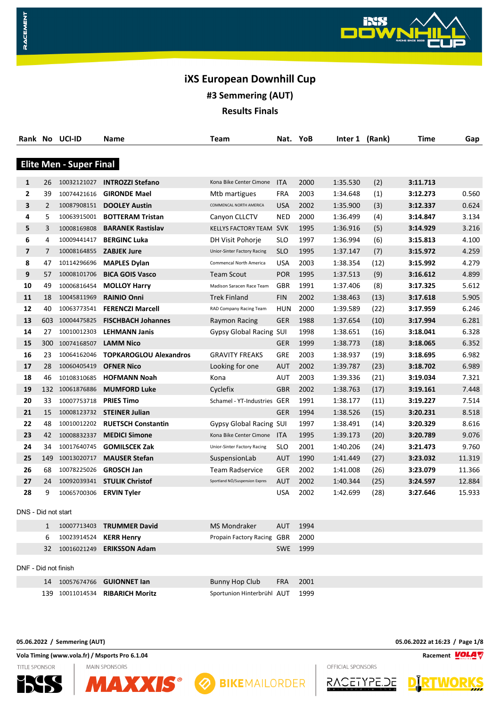# **iXS European Downhill Cup**

**#3 Semmering (AUT)**

**Results Finals**

|              |                      | Rank No UCI-ID                 | Name                                | Team                           | Nat.       | YoB      | Inter 1 (Rank) |      | Time     | Gap    |
|--------------|----------------------|--------------------------------|-------------------------------------|--------------------------------|------------|----------|----------------|------|----------|--------|
|              |                      |                                |                                     |                                |            |          |                |      |          |        |
|              |                      | <b>Elite Men - Super Final</b> |                                     |                                |            |          |                |      |          |        |
| 1            | 26                   |                                | 10032121027 <b>INTROZZI Stefano</b> | Kona Bike Center Cimone        | <b>ITA</b> | 2000     | 1:35.530       | (2)  | 3:11.713 |        |
| $\mathbf{2}$ | 39                   | 10074421616                    | <b>GIRONDE Mael</b>                 | Mtb martigues                  | <b>FRA</b> | 2003     | 1:34.648       | (1)  | 3:12.273 | 0.560  |
| 3            | $\overline{2}$       |                                | 10087908151 DOOLEY Austin           | COMMENCAL NORTH AMERICA        | <b>USA</b> | 2002     | 1:35.900       | (3)  | 3:12.337 | 0.624  |
| 4            | 5                    | 10063915001                    | <b>BOTTERAM Tristan</b>             | Canyon CLLCTV                  | NED        | 2000     | 1:36.499       | (4)  | 3:14.847 | 3.134  |
| 5            | 3                    | 10008169808                    | <b>BARANEK Rastislav</b>            | <b>KELLYS FACTORY TEAM</b>     | <b>SVK</b> | 1995     | 1:36.916       | (5)  | 3:14.929 | 3.216  |
| 6            | 4                    | 10009441417                    | <b>BERGINC Luka</b>                 | DH Visit Pohorje               | <b>SLO</b> | 1997     | 1:36.994       | (6)  | 3:15.813 | 4.100  |
| 7            | $\overline{7}$       |                                | 10008164855 ZABJEK Jure             | Unior-Sinter Factory Racing    | <b>SLO</b> | 1995     | 1:37.147       | (7)  | 3:15.972 | 4.259  |
| 8            | 47                   | 10114296696                    | <b>MAPLES Dylan</b>                 | Commencal North America        | <b>USA</b> | 2003     | 1:38.354       | (12) | 3:15.992 | 4.279  |
| 9            | 57                   | 10008101706                    | <b>BICA GOIS Vasco</b>              | <b>Team Scout</b>              | <b>POR</b> | 1995     | 1:37.513       | (9)  | 3:16.612 | 4.899  |
| 10           | 49                   | 10006816454                    | <b>MOLLOY Harry</b>                 | Madison Saracen Race Team      | GBR        | 1991     | 1:37.406       | (8)  | 3:17.325 | 5.612  |
| 11           | 18                   | 10045811969                    | <b>RAINIO Onni</b>                  | Trek Finland                   | <b>FIN</b> | 2002     | 1:38.463       | (13) | 3:17.618 | 5.905  |
| 12           | 40                   | 10063773541                    | <b>FERENCZI Marcell</b>             | RAD Company Racing Team        | <b>HUN</b> | 2000     | 1:39.589       | (22) | 3:17.959 | 6.246  |
| 13           | 603                  | 10004475825                    | <b>FISCHBACH Johannes</b>           | Raymon Racing                  | <b>GER</b> | 1988     | 1:37.654       | (10) | 3:17.994 | 6.281  |
| 14           | 27                   | 10010012303                    | <b>LEHMANN Janis</b>                | Gypsy Global Racing SUI        |            | 1998     | 1:38.651       | (16) | 3:18.041 | 6.328  |
| 15           | 300                  | 10074168507                    | <b>LAMM Nico</b>                    |                                | <b>GER</b> | 1999     | 1:38.773       | (18) | 3:18.065 | 6.352  |
| 16           | 23                   | 10064162046                    | <b>TOPKAROGLOU Alexandros</b>       | <b>GRAVITY FREAKS</b>          | GRE        | 2003     | 1:38.937       | (19) | 3:18.695 | 6.982  |
| 17           | 28                   | 10060405419                    | <b>OFNER Nico</b>                   | Looking for one                | <b>AUT</b> | 2002     | 1:39.787       | (23) | 3:18.702 | 6.989  |
| 18           | 46                   | 10108310685                    | <b>HOFMANN Noah</b>                 | Kona                           | AUT        | 2003     | 1:39.336       | (21) | 3:19.034 | 7.321  |
| 19           |                      | 132 10061876886                | <b>MUMFORD Luke</b>                 | Cyclefix                       | GBR        | 2002     | 1:38.763       | (17) | 3:19.161 | 7.448  |
| 20           | 33                   | 10007753718                    | <b>PRIES Timo</b>                   | Schamel - YT-Industries GER    |            | 1991     | 1:38.177       | (11) | 3:19.227 | 7.514  |
| 21           | 15                   |                                | 10008123732 STEINER Julian          |                                | GER        | 1994     | 1:38.526       | (15) | 3:20.231 | 8.518  |
| 22           | 48                   | 10010012202                    | <b>RUETSCH Constantin</b>           | <b>Gypsy Global Racing SUI</b> |            | 1997     | 1:38.491       | (14) | 3:20.329 | 8.616  |
| 23           | 42                   | 10008832337                    | <b>MEDICI Simone</b>                | Kona Bike Center Cimone        | <b>ITA</b> | 1995     | 1:39.173       | (20) | 3:20.789 | 9.076  |
| 24           | 34                   | 10017640745                    | <b>GOMILSCEK Zak</b>                | Unior-Sinter Factory Racing    | <b>SLO</b> | 2001     | 1:40.206       | (24) | 3:21.473 | 9.760  |
| 25           | 149                  | 10013020717                    | <b>MAUSER Stefan</b>                | SuspensionLab                  | <b>AUT</b> | 1990     | 1:41.449       | (27) | 3:23.032 | 11.319 |
| 26           | 68                   | 10078225026                    | <b>GROSCH Jan</b>                   | Team Radservice                | GER        | 2002     | 1:41.008       | (26) | 3:23.079 | 11.366 |
| 27           | 24                   | 10092039341                    | <b>STULIK Christof</b>              | Sportland NÖ/Suspension Expres | <b>AUT</b> | 2002     | 1:40.344       | (25) | 3:24.597 | 12.884 |
| 28           | 9                    | 10065700306 ERVIN Tyler        |                                     |                                | <b>USA</b> | 2002     | 1:42.699       | (28) | 3:27.646 | 15.933 |
|              | DNS - Did not start  |                                |                                     |                                |            |          |                |      |          |        |
|              | 1                    |                                | 10007713403 TRUMMER David           | MS Mondraker                   | <b>AUT</b> | 1994     |                |      |          |        |
|              | 6                    | 10023914524                    | <b>KERR Henry</b>                   | Propain Factory Racing GBR     |            | 2000     |                |      |          |        |
|              |                      |                                | 32 10016021249 ERIKSSON Adam        |                                |            | SWE 1999 |                |      |          |        |
|              |                      |                                |                                     |                                |            |          |                |      |          |        |
|              | DNF - Did not finish |                                |                                     |                                |            |          |                |      |          |        |
|              |                      |                                | 14 10057674766 GUIONNET lan         | <b>Bunny Hop Club</b>          | <b>FRA</b> | 2001     |                |      |          |        |

10011014534 **RIBARICH Moritz** Sportunion Hinterbrühl AUT 1999

**05.06.2022 / Semmering (AUT) 05.06.2022 at 16:23 / Page 1/8**

**Vola Timing (www.vola.fr) / Msports Pro 6.1.04 Racement VOLA W** Racement **VOLA W** 

**MAIN SPONSORS** 

**TITLE SPONSOR** 

RACEMENT





**O BIKEMAILORDER** 

RACETYPE .JE

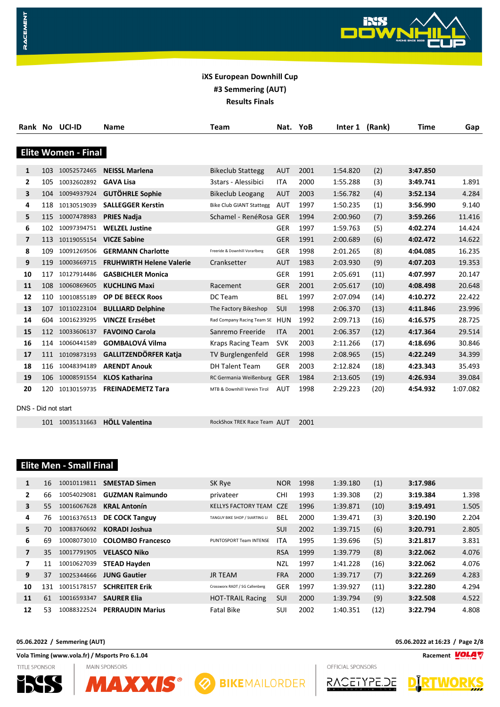|                     |     | Rank No UCI-ID             | <b>Name</b>                     | Team                            | Nat. YoB   |      | Inter 1  | (Rank) | Time     | Gap      |
|---------------------|-----|----------------------------|---------------------------------|---------------------------------|------------|------|----------|--------|----------|----------|
|                     |     |                            |                                 |                                 |            |      |          |        |          |          |
|                     |     | <b>Elite Women - Final</b> |                                 |                                 |            |      |          |        |          |          |
|                     |     |                            |                                 |                                 |            |      |          |        |          |          |
| 1                   | 103 | 10052572465                | <b>NEISSL Marlena</b>           | <b>Bikeclub Stattegg</b>        | <b>AUT</b> | 2001 | 1:54.820 | (2)    | 3:47.850 |          |
| $\mathbf{2}$        | 105 | 10032602892                | <b>GAVA Lisa</b>                | 3stars - Alessibici             | <b>ITA</b> | 2000 | 1:55.288 | (3)    | 3:49.741 | 1.891    |
| 3                   | 104 | 10094937924                | <b>GUTÖHRLE Sophie</b>          | <b>Bikeclub Leogang</b>         | <b>AUT</b> | 2003 | 1:56.782 | (4)    | 3:52.134 | 4.284    |
| 4                   | 118 | 10130519039                | <b>SALLEGGER Kerstin</b>        | <b>Bike Club GIANT Stattegg</b> | <b>AUT</b> | 1997 | 1:50.235 | (1)    | 3:56.990 | 9.140    |
| 5                   | 115 | 10007478983                | <b>PRIES Nadja</b>              | Schamel - RenéRosa GER          |            | 1994 | 2:00.960 | (7)    | 3:59.266 | 11.416   |
| 6                   | 102 | 10097394751                | <b>WELZEL Justine</b>           |                                 | <b>GER</b> | 1997 | 1:59.763 | (5)    | 4:02.274 | 14.424   |
| 7                   | 113 | 10119055154                | <b>VICZE Sabine</b>             |                                 | <b>GER</b> | 1991 | 2:00.689 | (6)    | 4:02.472 | 14.622   |
| 8                   | 109 | 10091269506                | <b>GERMANN Charlotte</b>        | Freeride & Downhill Vorarlberg  | <b>GER</b> | 1998 | 2:01.265 | (8)    | 4:04.085 | 16.235   |
| 9                   | 119 | 10003669715                | <b>FRUHWIRTH Helene Valerie</b> | Cranksetter                     | <b>AUT</b> | 1983 | 2:03.930 | (9)    | 4:07.203 | 19.353   |
| 10                  | 117 | 10127914486                | <b>GASBICHLER Monica</b>        |                                 | <b>GER</b> | 1991 | 2:05.691 | (11)   | 4:07.997 | 20.147   |
| 11                  | 108 | 10060869605                | <b>KUCHLING Maxi</b>            | Racement                        | <b>GER</b> | 2001 | 2:05.617 | (10)   | 4:08.498 | 20.648   |
| 12                  | 110 | 10010855189                | <b>OP DE BEECK Roos</b>         | DC Team                         | <b>BEL</b> | 1997 | 2:07.094 | (14)   | 4:10.272 | 22.422   |
| 13                  | 107 | 10110223104                | <b>BULLIARD Delphine</b>        | The Factory Bikeshop            | SUI        | 1998 | 2:06.370 | (13)   | 4:11.846 | 23.996   |
| 14                  | 604 | 10016239295                | <b>VINCZE Erzsébet</b>          | Rad Company Racing Team SE      | <b>HUN</b> | 1992 | 2:09.713 | (16)   | 4:16.575 | 28.725   |
| 15                  | 112 | 10033606137                | <b>FAVOINO Carola</b>           | Sanremo Freeride                | <b>ITA</b> | 2001 | 2:06.357 | (12)   | 4:17.364 | 29.514   |
| 16                  | 114 | 10060441589                | <b>GOMBALOVÁ Vilma</b>          | <b>Kraps Racing Team</b>        | <b>SVK</b> | 2003 | 2:11.266 | (17)   | 4:18.696 | 30.846   |
| 17                  | 111 | 10109873193                | <b>GALLITZENDÖRFER Katja</b>    | TV Burglengenfeld               | <b>GER</b> | 1998 | 2:08.965 | (15)   | 4:22.249 | 34.399   |
| 18                  | 116 | 10048394189                | <b>ARENDT Anouk</b>             | <b>DH Talent Team</b>           | <b>GER</b> | 2003 | 2:12.824 | (18)   | 4:23.343 | 35.493   |
| 19                  | 106 | 10008591554                | <b>KLOS Katharina</b>           | RC Germania Weißenburg          | <b>GER</b> | 1984 | 2:13.605 | (19)   | 4:26.934 | 39.084   |
| 20                  | 120 | 10130159735                | <b>FREINADEMETZ Tara</b>        | MTB & Downhill Verein Tirol     | <b>AUT</b> | 1998 | 2:29.223 | (20)   | 4:54.932 | 1:07.082 |
|                     |     |                            |                                 |                                 |            |      |          |        |          |          |
| DNS - Did not start |     |                            |                                 |                                 |            |      |          |        |          |          |
|                     |     | 101 10035131663            | <b>HÖLL Valentina</b>           | RockShox TREK Race Team AUT     |            | 2001 |          |        |          |          |

### **Elite Men - Small Final**

RACEMENT

| $\mathbf{1}$ | 16  | 10010119811 | <b>SMESTAD Simen</b>     | SK Rye                         | <b>NOR</b> | 1998 | 1:39.180 | (1)  | 3:17.986 |       |
|--------------|-----|-------------|--------------------------|--------------------------------|------------|------|----------|------|----------|-------|
| 2            | 66  | 10054029081 | <b>GUZMAN Raimundo</b>   | privateer                      | <b>CHI</b> | 1993 | 1:39.308 | (2)  | 3:19.384 | 1.398 |
| 3            | 55  | 10016067628 | <b>KRAL Antonín</b>      | <b>KELLYS FACTORY TEAM</b>     | <b>CZE</b> | 1996 | 1:39.871 | (10) | 3:19.491 | 1.505 |
| 4            | 76  | 10016376513 | <b>DE COCK Tanguy</b>    | TANGUY BIKE SHOP / StARTING LI | <b>BEL</b> | 2000 | 1:39.471 | (3)  | 3:20.190 | 2.204 |
| 5            | 70  | 10083760692 | <b>KORADI Joshua</b>     |                                | <b>SUI</b> | 2002 | 1:39.715 | (6)  | 3:20.791 | 2.805 |
| 6            | 69  | 10008073010 | <b>COLOMBO Francesco</b> | PUNTOSPORT Team INTENSE        | ITA        | 1995 | 1:39.696 | (5)  | 3:21.817 | 3.831 |
| 7            | 35  | 10017791905 | <b>VELASCO Niko</b>      |                                | <b>RSA</b> | 1999 | 1:39.779 | (8)  | 3:22.062 | 4.076 |
| 7            | 11  | 10010627039 | <b>STEAD Hayden</b>      |                                | <b>NZL</b> | 1997 | 1:41.228 | (16) | 3:22.062 | 4.076 |
| 9            | 37  | 10025344666 | <b>JUNG Gautier</b>      | <b>JR TEAM</b>                 | <b>FRA</b> | 2000 | 1:39.717 | (7)  | 3:22.269 | 4.283 |
| 10           | 131 | 10015178157 | <b>SCHREITER Erik</b>    | Crossworx RADT / SG Callenberg | <b>GER</b> | 1997 | 1:39.927 | (11) | 3:22.280 | 4.294 |
| 11           | 61  | 10016593347 | <b>SAURER Elia</b>       | <b>HOT-TRAIL Racing</b>        | <b>SUI</b> | 2000 | 1:39.794 | (9)  | 3:22.508 | 4.522 |
| 12           | 53  | 10088322524 | <b>PERRAUDIN Marius</b>  | Fatal Bike                     | SUI        | 2002 | 1:40.351 | (12) | 3:22.794 | 4.808 |

**05.06.2022 / Semmering (AUT) 05.06.2022 at 16:23 / Page 2/8**

**Vola Timing (www.vola.fr) / Msports Pro 6.1.04 Racement**

**TITLE SPONSOR** 





WORKS **D** 

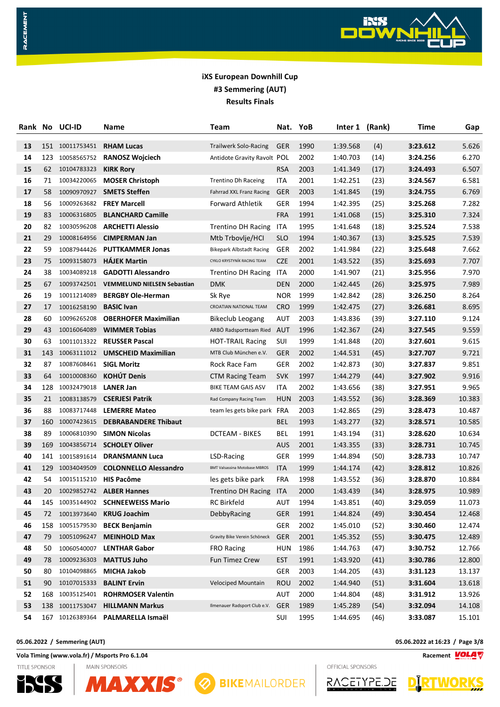

| Rank | No. | UCI-ID                  | Name                                    | Team                                 | Nat.       | YoB  | Inter 1  | (Rank) | Time     | Gap    |
|------|-----|-------------------------|-----------------------------------------|--------------------------------------|------------|------|----------|--------|----------|--------|
| 13   |     | 151 10011753451         | <b>RHAM Lucas</b>                       | <b>Trailwerk Solo-Racing</b>         | GER        | 1990 | 1:39.568 | (4)    | 3:23.612 | 5.626  |
| 14   | 123 | 10058565752             | <b>RANOSZ Wojciech</b>                  | Antidote Gravity Ravolt POL          |            | 2002 | 1:40.703 | (14)   | 3:24.256 | 6.270  |
| 15   | 62  | 10104783323             | <b>KIRK Rory</b>                        |                                      | <b>RSA</b> | 2003 | 1:41.349 | (17)   | 3:24.493 | 6.507  |
| 16   | 71  | 10034220065             | <b>MOSER Christoph</b>                  | <b>Trentino Dh Raceing</b>           | ITA        | 2001 | 1:42.251 | (23)   | 3:24.567 | 6.581  |
| 17   | 58  | 10090970927             | <b>SMETS Steffen</b>                    | Fahrrad XXL Franz Racing             | <b>GER</b> | 2003 | 1:41.845 | (19)   | 3:24.755 | 6.769  |
| 18   | 56  | 10009263682             | <b>FREY Marcell</b>                     | Forward Athletik                     | GER        | 1994 | 1:42.395 | (25)   | 3:25.268 | 7.282  |
| 19   | 83  | 10006316805             | <b>BLANCHARD Camille</b>                |                                      | <b>FRA</b> | 1991 | 1:41.068 | (15)   | 3:25.310 | 7.324  |
| 20   | 82  | 10030596208             | <b>ARCHETTI Alessio</b>                 | <b>Trentino DH Racing</b>            | ITA        | 1995 | 1:41.648 | (18)   | 3:25.524 | 7.538  |
| 21   | 29  | 10008164956             | <b>CIMPERMAN Jan</b>                    | Mtb Trbovlje/HCI                     | <b>SLO</b> | 1994 | 1:40.367 | (13)   | 3:25.525 | 7.539  |
| 22   | 59  | 10087944426             | <b>PUTTKAMMER Jonas</b>                 | <b>Bikepark Albstadt Racing</b>      | GER        | 2002 | 1:41.984 | (22)   | 3:25.648 | 7.662  |
| 23   | 75  | 10093158073             | <b>HAJEK Martin</b>                     | CYKLO KRYSTYNÍK RACING TEAM          | <b>CZE</b> | 2001 | 1:43.522 | (35)   | 3:25.693 | 7.707  |
| 24   | 38  | 10034089218             | <b>GADOTTI Alessandro</b>               | <b>Trentino DH Racing</b>            | ITA        | 2000 | 1:41.907 | (21)   | 3:25.956 | 7.970  |
| 25   | 67  |                         | 10093742501 VEMMELUND NIELSEN Sebastian | DMK                                  | <b>DEN</b> | 2000 | 1:42.445 | (26)   | 3:25.975 | 7.989  |
| 26   | 19  | 10011214089             | <b>BERGBY Ole-Herman</b>                | Sk Rye                               | <b>NOR</b> | 1999 | 1:42.842 | (28)   | 3:26.250 | 8.264  |
| 27   | 17  | 10016258190             | <b>BASIC Ivan</b>                       | CROATIAN NATIONAL TEAM               | <b>CRO</b> | 1999 | 1:42.475 | (27)   | 3:26.681 | 8.695  |
| 28   | 60  | 10096265208             | <b>OBERHOFER Maximilian</b>             | <b>Bikeclub Leogang</b>              | AUT        | 2003 | 1:43.836 | (39)   | 3:27.110 | 9.124  |
| 29   | 43  | 10016064089             | <b>WIMMER Tobias</b>                    | ARBÖ Radsportteam Ried AUT           |            | 1996 | 1:42.367 | (24)   | 3:27.545 | 9.559  |
| 30   | 63  | 10011013322             | <b>REUSSER Pascal</b>                   | <b>HOT-TRAIL Racing</b>              | SUI        | 1999 | 1:41.848 | (20)   | 3:27.601 | 9.615  |
| 31   | 143 | 10063111012             | <b>UMSCHEID Maximilian</b>              | MTB Club München e.V.                | <b>GER</b> | 2002 | 1:44.531 | (45)   | 3:27.707 | 9.721  |
| 32   | 87  | 10087608461 SIGL Moritz |                                         | Rock Race Fam                        | GER        | 2002 | 1:42.873 | (30)   | 3:27.837 | 9.851  |
| 33   | 64  | 10010008360             | <b>KOHÚT Denis</b>                      | <b>CTM Racing Team</b>               | <b>SVK</b> | 1997 | 1:44.279 | (44)   | 3:27.902 | 9.916  |
| 34   | 128 | 10032479018             | <b>LANER Jan</b>                        | BIKE TEAM GAIS ASV                   | ITA        | 2002 | 1:43.656 | (38)   | 3:27.951 | 9.965  |
| 35   | 21  | 10083138579             | <b>CSERJESI Patrik</b>                  | Rad Company Racing Team              | <b>HUN</b> | 2003 | 1:43.552 | (36)   | 3:28.369 | 10.383 |
| 36   | 88  | 10083717448             | <b>LEMERRE Mateo</b>                    | team les gets bike park FRA          |            | 2003 | 1:42.865 | (29)   | 3:28.473 | 10.487 |
| 37   | 160 | 10007423615             | <b>DEBRABANDERE Thibaut</b>             |                                      | BEL        | 1993 | 1:43.277 | (32)   | 3:28.571 | 10.585 |
| 38   | 89  | 10006810390             | <b>SIMON Nicolas</b>                    | <b>DCTEAM - BIKES</b>                | BEL        | 1991 | 1:43.194 | (31)   | 3:28.620 | 10.634 |
| 39   | 169 | 10043856714             | <b>SCHOLEY Oliver</b>                   |                                      | <b>AUS</b> | 2001 | 1:43.355 | (33)   | 3:28.731 | 10.745 |
| 40   | 141 | 10015891614             | <b>DRANSMANN Luca</b>                   | LSD-Racing                           | GER        | 1999 | 1:44.894 | (50)   | 3:28.733 | 10.747 |
| 41   | 129 | 10034049509             | <b>COLONNELLO Alessandro</b>            | <b>BMT Valsassina Motobase MBROS</b> | <b>ITA</b> | 1999 | 1:44.174 | (42)   | 3:28.812 | 10.826 |
| 42   | 54  | 10015115210             | <b>HIS Pacôme</b>                       | les gets bike park                   | <b>FRA</b> | 1998 | 1:43.552 | (36)   | 3:28.870 | 10.884 |
| 43   | 20  |                         | 10029852742 ALBER Hannes                | <b>Trentino DH Racing</b>            | <b>ITA</b> | 2000 | 1:43.439 | (34)   | 3:28.975 | 10.989 |
| 44   | 145 | 10035144902             | <b>SCHNEEWEISS Mario</b>                | RC Birkfeld                          | AUT        | 1994 | 1:43.851 | (40)   | 3:29.059 | 11.073 |
| 45   | 72  | 10013973640             | <b>KRUG Joachim</b>                     | DebbyRacing                          | <b>GER</b> | 1991 | 1:44.824 | (49)   | 3:30.454 | 12.468 |
| 46   | 158 | 10051579530             | <b>BECK Benjamin</b>                    |                                      | <b>GER</b> | 2002 | 1:45.010 | (52)   | 3:30.460 | 12.474 |
| 47   | 79  | 10051096247             | <b>MEINHOLD Max</b>                     | Gravity Bike Verein Schöneck         | GER        | 2001 | 1:45.352 | (55)   | 3:30.475 | 12.489 |
| 48   | 50  | 10060540007             | <b>LENTHAR Gabor</b>                    | <b>FRO Racing</b>                    | <b>HUN</b> | 1986 | 1:44.763 | (47)   | 3:30.752 | 12.766 |
| 49   | 78  | 10009236303             | <b>MATTUS Juho</b>                      | <b>Fun Timez Crew</b>                | <b>EST</b> | 1991 | 1:43.920 | (41)   | 3:30.786 | 12.800 |
| 50   | 80  | 10104098865             | <b>MICHA Jakob</b>                      |                                      | <b>GER</b> | 2003 | 1:44.205 | (43)   | 3:31.123 | 13.137 |
| 51   | 90  | 10107015333             | <b>BALINT Ervin</b>                     | <b>Velociped Mountain</b>            | ROU        | 2002 | 1:44.940 | (51)   | 3:31.604 | 13.618 |
| 52   | 168 | 10035125401             | <b>ROHRMOSER Valentin</b>               |                                      | <b>AUT</b> | 2000 | 1:44.804 | (48)   | 3:31.912 | 13.926 |
| 53   | 138 | 10011753047             | <b>HILLMANN Markus</b>                  | Ilmenauer Radsport Club e.V.         | <b>GER</b> | 1989 | 1:45.289 | (54)   | 3:32.094 | 14.108 |
| 54   |     | 167 10126389364         | PALMARELLA Ismaël                       |                                      | SUI        | 1995 | 1:44.695 | (46)   | 3:33.087 | 15.101 |

**Vola Timing (www.vola.fr) / Msports Pro 6.1.04 Racement**

**TITLE SPONSOR** 

RACEMENT





**8 BIKEMAILORDER** 



OFFICIAL SPONSORS



**05.06.2022 / Semmering (AUT) 05.06.2022 at 16:23 / Page 3/8**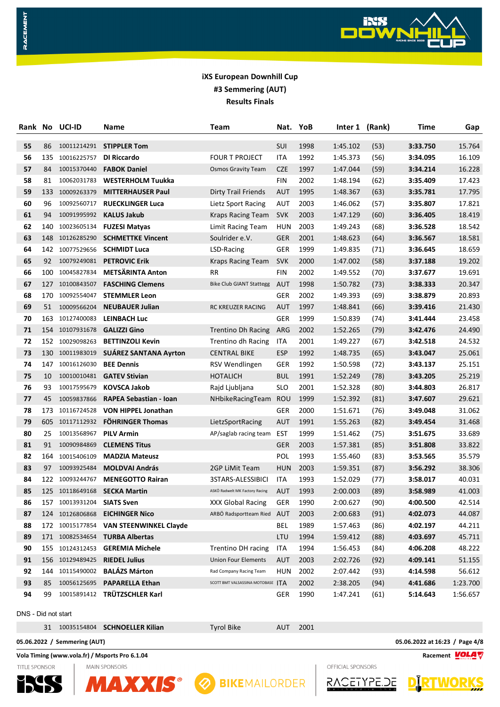

| Rank No             |     | UCI-ID          | Name                                   | Team                              | Nat.       | YoB  | Inter 1  | (Rank) | <b>Time</b> | Gap      |
|---------------------|-----|-----------------|----------------------------------------|-----------------------------------|------------|------|----------|--------|-------------|----------|
| 55                  | 86  | 10011214291     | <b>STIPPLER Tom</b>                    |                                   | SUI        | 1998 | 1:45.102 | (53)   | 3:33.750    | 15.764   |
| 56                  | 135 | 10016225757     | <b>DI Riccardo</b>                     | <b>FOUR T PROJECT</b>             | ITA        | 1992 | 1:45.373 | (56)   | 3:34.095    | 16.109   |
| 57                  | 84  | 10015370440     | <b>FABOK Daniel</b>                    | <b>Osmos Gravity Team</b>         | <b>CZE</b> | 1997 | 1:47.044 | (59)   | 3:34.214    | 16.228   |
| 58                  | 81  | 10062031783     | <b>WESTERHOLM Tuukka</b>               |                                   | <b>FIN</b> | 2002 | 1:48.194 | (62)   | 3:35.409    | 17.423   |
| 59                  | 133 | 10009263379     | <b>MITTERHAUSER Paul</b>               | <b>Dirty Trail Friends</b>        | <b>AUT</b> | 1995 | 1:48.367 | (63)   | 3:35.781    | 17.795   |
| 60                  | 96  | 10092560717     | <b>RUECKLINGER Luca</b>                | Lietz Sport Racing                | AUT        | 2003 | 1:46.062 | (57)   | 3:35.807    | 17.821   |
| 61                  | 94  | 10091995992     | <b>KALUS Jakub</b>                     | <b>Kraps Racing Team</b>          | <b>SVK</b> | 2003 | 1:47.129 | (60)   | 3:36.405    | 18.419   |
| 62                  | 140 | 10023605134     | <b>FUZESI Matyas</b>                   | Limit Racing Team                 | HUN        | 2003 | 1:49.243 | (68)   | 3:36.528    | 18.542   |
| 63                  |     | 148 10126285290 | <b>SCHMETTKE Vincent</b>               | Soulrider e.V.                    | <b>GER</b> | 2001 | 1:48.623 | (64)   | 3:36.567    | 18.581   |
| 64                  |     | 142 10077529656 | <b>SCHMIDT Luca</b>                    | LSD-Racing                        | GER        | 1999 | 1:49.835 | (71)   | 3:36.645    | 18.659   |
| 65                  | 92  | 10079249081     | <b>PETROVIC Erik</b>                   | <b>Kraps Racing Team</b>          | <b>SVK</b> | 2000 | 1:47.002 | (58)   | 3:37.188    | 19.202   |
| 66                  | 100 | 10045827834     | <b>METSÄRINTA Anton</b>                | RR                                | <b>FIN</b> | 2002 | 1:49.552 | (70)   | 3:37.677    | 19.691   |
| 67                  | 127 | 10100843507     | <b>FASCHING Clemens</b>                | <b>Bike Club GIANT Stattegg</b>   | AUT        | 1998 | 1:50.782 | (73)   | 3:38.333    | 20.347   |
| 68                  | 170 | 10092554047     | <b>STEMMLER Leon</b>                   |                                   | <b>GER</b> | 2002 | 1:49.393 | (69)   | 3:38.879    | 20.893   |
| 69                  | 51  | 10009566204     | <b>NEUBAUER Julian</b>                 | RC KREUZER RACING                 | <b>AUT</b> | 1997 | 1:48.841 | (66)   | 3:39.416    | 21.430   |
| 70                  |     | 163 10127400083 | <b>LEINBACH Luc</b>                    |                                   | GER        | 1999 | 1:50.839 | (74)   | 3:41.444    | 23.458   |
| 71                  |     | 154 10107931678 | <b>GALIZZI Gino</b>                    | <b>Trentino Dh Racing</b>         | ARG        | 2002 | 1:52.265 | (79)   | 3:42.476    | 24.490   |
| 72                  |     | 152 10029098263 | <b>BETTINZOLI Kevin</b>                | <b>Trentino dh Racing</b>         | ITA        | 2001 | 1:49.227 | (67)   | 3:42.518    | 24.532   |
| 73                  | 130 | 10011983019     | <b>SUÁREZ SANTANA Ayrton</b>           | <b>CENTRAL BIKE</b>               | <b>ESP</b> | 1992 | 1:48.735 | (65)   | 3:43.047    | 25.061   |
| 74                  | 147 | 10016126030     | <b>BEE Dennis</b>                      | RSV Wendlingen                    | GER        | 1992 | 1:50.598 | (72)   | 3:43.137    | 25.151   |
| 75                  | 10  | 10010010481     | <b>GATEV Stivian</b>                   | <b>HOTALICH</b>                   | <b>BUL</b> | 1991 | 1:52.249 | (78)   | 3:43.205    | 25.219   |
| 76                  | 93  | 10017595679     | <b>KOVSCA Jakob</b>                    | Rajd Ljubljana                    | <b>SLO</b> | 2001 | 1:52.328 | (80)   | 3:44.803    | 26.817   |
| 77                  | 45  | 10059837866     | <b>RAPEA Sebastian - Ioan</b>          | NHbikeRacingTeam                  | ROU        | 1999 | 1:52.392 | (81)   | 3:47.607    | 29.621   |
| 78                  | 173 | 10116724528     | <b>VON HIPPEL Jonathan</b>             |                                   | <b>GER</b> | 2000 | 1:51.671 | (76)   | 3:49.048    | 31.062   |
| 79                  | 605 | 10117112932     | <b>FÖHRINGER Thomas</b>                | LietzSportRacing                  | AUT        | 1991 | 1:55.263 | (82)   | 3:49.454    | 31.468   |
| 80                  | 25  | 10013568967     | <b>PILV Armin</b>                      | AP/saglab racing team             | EST        | 1999 | 1:51.462 | (75)   | 3:51.675    | 33.689   |
| 81                  | 91  | 10090984869     | <b>CLEMENS Titus</b>                   |                                   | <b>GER</b> | 2003 | 1:57.381 | (85)   | 3:51.808    | 33.822   |
| 82                  | 164 | 10015406109     | <b>MADZIA Mateusz</b>                  |                                   | <b>POL</b> | 1993 | 1:55.460 | (83)   | 3:53.565    | 35.579   |
| 83                  | 97  | 10093925484     | <b>MOLDVAI András</b>                  | 2GP LiMit Team                    | <b>HUN</b> | 2003 | 1:59.351 | (87)   | 3:56.292    | 38.306   |
| 84                  |     | 122 10093244767 | <b>MENEGOTTO Rairan</b>                | 3STARS-ALESSIBICI                 | ITA        | 1993 | 1:52.029 | (77)   | 3:58.017    | 40.031   |
| 85                  |     |                 | 125 10118649168 SECKA Martin           | ASKÖ Radwelt MK Factory Racing    | <b>AUT</b> | 1993 | 2:00.003 | (89)   | 3:58.989    | 41.003   |
| 86                  |     | 157 10013931204 | <b>SIATS Sven</b>                      | XXX Global Racing                 | GER        | 1990 | 2:00.627 | (90)   | 4:00.500    | 42.514   |
| 87                  |     | 124 10126806868 | <b>EICHINGER Nico</b>                  | ARBÖ Radsportteam Ried            | AUT        | 2003 | 2:00.683 | (91)   | 4:02.073    | 44.087   |
| 88                  |     |                 | 172 10015177854 VAN STEENWINKEL Clayde |                                   | <b>BEL</b> | 1989 | 1:57.463 | (86)   | 4:02.197    | 44.211   |
| 89                  |     |                 | 171 10082534654 TURBA Albertas         |                                   | LTU        | 1994 | 1:59.412 | (88)   | 4:03.697    | 45.711   |
| 90                  | 155 | 10124312453     | <b>GEREMIA Michele</b>                 | <b>Trentino DH racing</b>         | <b>ITA</b> | 1994 | 1:56.453 | (84)   | 4:06.208    | 48.222   |
| 91                  |     | 156 10129489425 | <b>RIEDEL Julius</b>                   | <b>Union Four Elements</b>        | <b>AUT</b> | 2003 | 2:02.726 | (92)   | 4:09.141    | 51.155   |
| 92                  | 144 | 10115490002     | <b>BALÁZS Márton</b>                   | Rad Company Racing Team           | <b>HUN</b> | 2002 | 2:07.442 | (93)   | 4:14.598    | 56.612   |
| 93                  | 85  | 10056125695     | <b>PAPARELLA Ethan</b>                 | SCOTT BMT VALSASSINA MOTOBASE ITA |            | 2002 | 2:38.205 | (94)   | 4:41.686    | 1:23.700 |
| 94                  | 99  | 10015891412     | TRÜTZSCHLER Karl                       |                                   | GER        | 1990 | 1:47.241 | (61)   | 5:14.643    | 1:56.657 |
| DNS - Did not start |     |                 |                                        |                                   |            |      |          |        |             |          |

### **05.06.2022 / Semmering (AUT) 05.06.2022 at 16:23 / Page 4/8** 10035154804 **SCHNOELLER Kilian** Tyrol Bike AUT 2001

### **Vola Timing (www.vola.fr) / Msports Pro 6.1.04 Racement**

**TITLE SPONSOR** 

RACEMENT









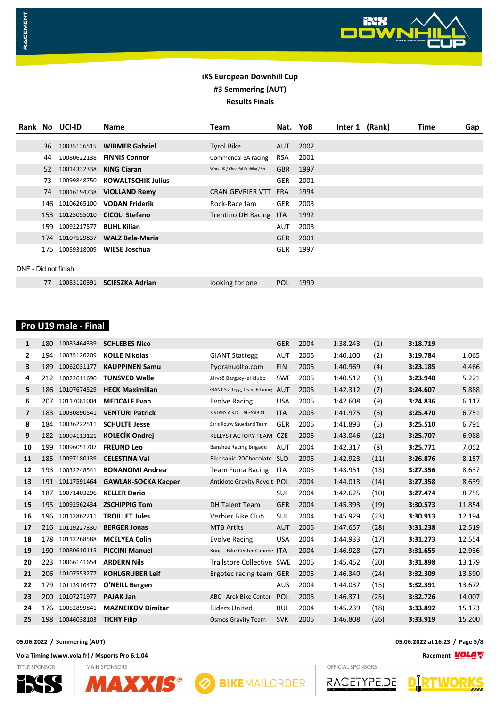

|                      |     | Rank No UCI-ID  | <b>Name</b>               | Team                           | Nat. YoB   |      | Inter 1 (Rank) | Time | Gap |
|----------------------|-----|-----------------|---------------------------|--------------------------------|------------|------|----------------|------|-----|
|                      |     |                 |                           |                                |            |      |                |      |     |
|                      | 36  | 10035136515     | <b>WIBMER Gabriel</b>     | <b>Tyrol Bike</b>              | AUT        | 2002 |                |      |     |
|                      | 44  | 10080622138     | <b>FINNIS Connor</b>      | Commencal SA racing            | <b>RSA</b> | 2001 |                |      |     |
|                      | 52  | 10014332338     | <b>KING Ciaran</b>        | Worx UK / Cheerful Buddha / So | <b>GBR</b> | 1997 |                |      |     |
|                      | 73  | 10099848750     | <b>KOWALTSCHIK Julius</b> |                                | <b>GER</b> | 2001 |                |      |     |
|                      |     | 74 10016194738  | <b>VIOLLAND Remy</b>      | <b>CRAN GEVRIER VTT</b>        | <b>FRA</b> | 1994 |                |      |     |
|                      | 146 | 10106265100     | <b>VODAN Friderik</b>     | Rock-Race fam                  | <b>GER</b> | 2003 |                |      |     |
|                      |     | 153 10125055010 | <b>CICOLI Stefano</b>     | <b>Trentino DH Racing</b>      | <b>ITA</b> | 1992 |                |      |     |
|                      | 159 | 10092217577     | <b>BUHL Kilian</b>        |                                | <b>AUT</b> | 2003 |                |      |     |
|                      |     | 174 10107529837 | <b>WALZ Bela-Maria</b>    |                                | <b>GER</b> | 2001 |                |      |     |
|                      | 175 | 10059318009     | WIESE Joschua             |                                | <b>GER</b> | 1997 |                |      |     |
|                      |     |                 |                           |                                |            |      |                |      |     |
| DNF - Did not finish |     |                 |                           |                                |            |      |                |      |     |
|                      | 77  | 10083120391     | <b>SCIESZKA Adrian</b>    | looking for one                | <b>POL</b> | 1999 |                |      |     |

## **Pro U19 male - Final**

RACEMENT

| 180 | 10083464339 | <b>SCHLEBES Nico</b>       |                             | <b>GER</b> | 2004                                                                                                                                                                                          | 1:38.243 | (1)  | 3:18.719 |        |
|-----|-------------|----------------------------|-----------------------------|------------|-----------------------------------------------------------------------------------------------------------------------------------------------------------------------------------------------|----------|------|----------|--------|
| 194 | 10035126209 | <b>KOLLE Nikolas</b>       | <b>GIANT Stattegg</b>       | <b>AUT</b> | 2005                                                                                                                                                                                          | 1:40.100 | (2)  | 3:19.784 | 1.065  |
| 189 | 10062031177 | <b>KAUPPINEN Samu</b>      | Pyorahuolto.com             | <b>FIN</b> | 2005                                                                                                                                                                                          | 1:40.969 | (4)  | 3:23.185 | 4.466  |
| 212 | 10022611690 | <b>TUNSVED Walle</b>       | Järvsö Bergscykel klubb     | <b>SWE</b> | 2005                                                                                                                                                                                          | 1:40.512 | (3)  | 3:23.940 | 5.221  |
| 186 | 10107674529 | <b>HECK Maximilian</b>     |                             |            | 2005                                                                                                                                                                                          | 1:42.312 | (7)  | 3:24.607 | 5.888  |
| 207 | 10117081004 | <b>MEDCALF Evan</b>        | Evolve Racing               | <b>USA</b> | 2005                                                                                                                                                                                          | 1:42.608 | (9)  | 3:24.836 | 6.117  |
| 183 | 10030890541 | <b>VENTURI Patrick</b>     | 3 STARS A.S.D. - ALESSIBICI | <b>ITA</b> | 2005                                                                                                                                                                                          | 1:41.975 | (6)  | 3:25.470 | 6.751  |
| 184 | 10036222511 | <b>SCHULTE Jesse</b>       | Saris Rouvy Sauerland Team  | GER        | 2005                                                                                                                                                                                          | 1:41.893 | (5)  | 3:25.510 | 6.791  |
| 182 | 10094113121 | <b>KOLECÍK Ondrej</b>      | <b>KELLYS FACTORY TEAM</b>  | <b>CZE</b> | 2005                                                                                                                                                                                          | 1:43.046 | (12) | 3:25.707 | 6.988  |
| 199 | 10096051707 | <b>FREUND Leo</b>          | Banshee Racing Brigade      | <b>AUT</b> | 2004                                                                                                                                                                                          | 1:42.317 | (8)  | 3:25.771 | 7.052  |
| 185 | 10097180139 | <b>CELESTINA Val</b>       |                             |            | 2005                                                                                                                                                                                          | 1:42.923 | (11) | 3:26.876 | 8.157  |
| 193 | 10032248541 | <b>BONANOMI Andrea</b>     | <b>Team Fuma Racing</b>     | <b>ITA</b> | 2005                                                                                                                                                                                          | 1:43.951 | (13) | 3:27.356 | 8.637  |
| 191 | 10117591464 | <b>GAWLAK-SOCKA Kacper</b> |                             |            | 2004                                                                                                                                                                                          | 1:44.013 | (14) | 3:27.358 | 8.639  |
| 187 | 10071403296 | <b>KELLER Dario</b>        |                             | SUI        | 2004                                                                                                                                                                                          | 1:42.625 | (10) | 3:27.474 | 8.755  |
| 195 | 10092562434 | <b>ZSCHIPPIG Tom</b>       | <b>DH Talent Team</b>       | <b>GER</b> | 2004                                                                                                                                                                                          | 1:45.393 | (19) | 3:30.573 | 11.854 |
| 196 | 10112862211 | <b>TROILLET Jules</b>      | Verbier Bike Club           | SUI        | 2004                                                                                                                                                                                          | 1:45.929 | (23) | 3:30.913 | 12.194 |
| 216 | 10119227330 | <b>BERGER Jonas</b>        | <b>MTB Artits</b>           | <b>AUT</b> | 2005                                                                                                                                                                                          | 1:47.657 | (28) | 3:31.238 | 12.519 |
| 178 | 10112268588 | <b>MCELYEA Colin</b>       | <b>Evolve Racing</b>        | <b>USA</b> | 2004                                                                                                                                                                                          | 1:44.933 | (17) | 3:31.273 | 12.554 |
| 190 | 10080610115 | <b>PICCINI Manuel</b>      |                             |            | 2004                                                                                                                                                                                          | 1:46.928 | (27) | 3:31.655 | 12.936 |
| 223 | 10066141654 | <b>ARDERN Nils</b>         |                             |            | 2005                                                                                                                                                                                          | 1:45.452 | (20) | 3:31.898 | 13.179 |
| 206 |             | <b>KOHLGRUBER Leif</b>     |                             |            | 2005                                                                                                                                                                                          | 1:46.340 | (24) | 3:32.309 | 13.590 |
| 179 | 10113916477 | O'NEILL Bergen             |                             | <b>AUS</b> | 2004                                                                                                                                                                                          | 1:44.037 | (15) | 3:32.391 | 13.672 |
| 200 | 10107271977 | <b>PAJAK Jan</b>           | ABC - Arek Bike Center      | POL        | 2005                                                                                                                                                                                          | 1:46.371 | (25) | 3:32.726 | 14.007 |
| 176 | 10052899841 | <b>MAZNEIKOV Dimitar</b>   | <b>Riders United</b>        | <b>BUL</b> | 2004                                                                                                                                                                                          | 1:45.239 | (18) | 3:33.892 | 15.173 |
| 198 |             | <b>TICHY Filip</b>         | <b>Osmos Gravity Team</b>   | <b>SVK</b> | 2005                                                                                                                                                                                          | 1:46.808 | (26) | 3:33.919 | 15.200 |
|     |             | 10107553277<br>10046038103 |                             |            | GIANT Stattegg, Team Erlkönig AUT<br>Bikehanic-20Chocolate SLO<br>Antidote Gravity Revolt POL<br>Kona - Bike Center Cimone ITA<br><b>Trailstore Collective SWE</b><br>Ergotec racing team GER |          |      |          |        |

### **05.06.2022 / Semmering (AUT) 05.06.2022 at 16:23 / Page 5/8**

**Vola Timing (www.vola.fr) / Msports Pro 6.1.04 Racement**

TITLE SPONSOR





OFFICIAL SPONSORS



WORKS **D**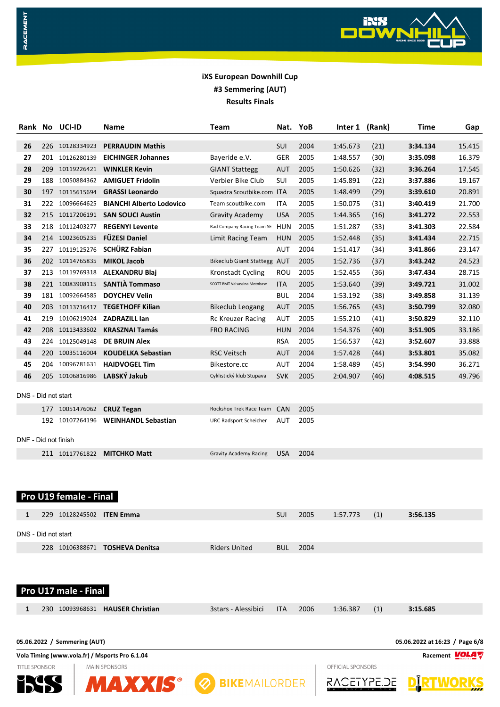

|                      |     | Rank No UCI-ID                                             | Name                                           | Team                               |            | Nat. YoB |                   | Inter 1 (Rank) | Time                           | Gap                  |
|----------------------|-----|------------------------------------------------------------|------------------------------------------------|------------------------------------|------------|----------|-------------------|----------------|--------------------------------|----------------------|
| 26                   | 226 | 10128334923                                                | <b>PERRAUDIN Mathis</b>                        |                                    | SUI        | 2004     | 1:45.673          | (21)           | 3:34.134                       | 15.415               |
| 27                   | 201 | 10126280139                                                | <b>EICHINGER Johannes</b>                      | Bayeride e.V.                      | GER        | 2005     | 1:48.557          | (30)           | 3:35.098                       | 16.379               |
| 28                   | 209 | 10119226421                                                | <b>WINKLER Kevin</b>                           | <b>GIANT Stattegg</b>              | AUT        | 2005     | 1:50.626          | (32)           | 3:36.264                       | 17.545               |
| 29                   | 188 | 10050884362                                                | <b>AMIGUET Fridolin</b>                        | Verbier Bike Club                  | <b>SUI</b> | 2005     | 1:45.891          | (22)           | 3:37.886                       | 19.167               |
| 30                   | 197 | 10115615694                                                | <b>GRASSI Leonardo</b>                         | Squadra Scoutbike.com ITA          |            | 2005     | 1:48.499          | (29)           | 3:39.610                       | 20.891               |
| 31                   | 222 | 10096664625                                                | <b>BIANCHI Alberto Lodovico</b>                | Team scoutbike.com                 | ITA        | 2005     | 1:50.075          | (31)           | 3:40.419                       | 21.700               |
| 32                   | 215 | 10117206191                                                | <b>SAN SOUCI Austin</b>                        | <b>Gravity Academy</b>             | <b>USA</b> | 2005     | 1:44.365          | (16)           | 3:41.272                       | 22.553               |
| 33                   | 218 | 10112403277                                                | <b>REGENYI Levente</b>                         | Rad Company Racing Team SE         | HUN        | 2005     | 1:51.287          | (33)           | 3:41.303                       | 22.584               |
| 34                   |     | 214 10023605235                                            | <b>FÜZESI Daniel</b>                           | Limit Racing Team                  | <b>HUN</b> | 2005     | 1:52.448          | (35)           | 3:41.434                       | 22.715               |
| 35                   | 227 | 10119125276                                                | <b>SCHÜRZ Fabian</b>                           |                                    | AUT        | 2004     | 1:51.417          | (34)           | 3:41.866                       | 23.147               |
| 36                   |     | 202 10114765835                                            | <b>MIKOL Jacob</b>                             | <b>Bikeclub Giant Stattegg AUT</b> |            | 2005     | 1:52.736          | (37)           | 3:43.242                       | 24.523               |
| 37                   | 213 | 10119769318                                                | <b>ALEXANDRU Blaj</b>                          | <b>Kronstadt Cycling</b>           | ROU        | 2005     | 1:52.455          | (36)           | 3:47.434                       | 28.715               |
| 38                   |     |                                                            | 221 10083908115 SANTIÀ Tommaso                 | SCOTT BMT Valsassina Motobase      | <b>ITA</b> | 2005     | 1:53.640          | (39)           | 3:49.721                       | 31.002               |
| 39                   |     | 181 10092664585                                            | <b>DOYCHEV Velin</b>                           |                                    | <b>BUL</b> | 2004     | 1:53.192          | (38)           | 3:49.858                       | 31.139               |
| 40                   | 203 | 10113716417                                                | <b>TEGETHOFF Kilian</b>                        | <b>Bikeclub Leogang</b>            | <b>AUT</b> | 2005     | 1:56.765          | (43)           | 3:50.799                       | 32.080               |
| 41                   | 219 | 10106219024                                                | <b>ZADRAZILL lan</b>                           | <b>Rc Kreuzer Racing</b>           | AUT        | 2005     | 1:55.210          | (41)           | 3:50.829                       | 32.110               |
| 42                   | 208 | 10113433602                                                | <b>KRASZNAI Tamás</b>                          | <b>FRO RACING</b>                  | <b>HUN</b> | 2004     | 1:54.376          | (40)           | 3:51.905                       | 33.186               |
| 43                   | 224 | 10125049148                                                | <b>DE BRUIN Alex</b>                           |                                    | <b>RSA</b> | 2005     | 1:56.537          | (42)           | 3:52.607                       | 33.888               |
| 44                   | 220 | 10035116004                                                | <b>KOUDELKA Sebastian</b>                      | <b>RSC Veitsch</b>                 | <b>AUT</b> | 2004     | 1:57.428          | (44)           | 3:53.801                       | 35.082               |
| 45                   | 204 |                                                            | 10096781631 HAIDVOGEL Tim                      | Bikestore.cc                       | AUT        | 2004     | 1:58.489          | (45)           | 3:54.990                       | 36.271               |
| 46                   |     |                                                            | 205 10106816986 LABSKÝ Jakub                   | Cyklistický klub Stupava           | <b>SVK</b> | 2005     | 2:04.907          | (46)           | 4:08.515                       | 49.796               |
| DNS - Did not start  |     |                                                            |                                                |                                    |            |          |                   |                |                                |                      |
|                      |     | 177 10051476062                                            | <b>CRUZ Tegan</b>                              | Rockshox Trek Race Team            | <b>CAN</b> | 2005     |                   |                |                                |                      |
| DNF - Did not finish |     | 192 10107264196                                            | <b>WEINHANDL Sebastian</b>                     | URC Radsport Scheicher             | AUT        | 2005     |                   |                |                                |                      |
|                      |     |                                                            | 211 10117761822 MITCHKO Matt                   | <b>Gravity Academy Racing</b>      | <b>USA</b> | 2004     |                   |                |                                |                      |
| 1                    |     | Pro U19 female - Final<br>229 10128245502 <b>ITEN Emma</b> |                                                |                                    | <b>SUI</b> | 2005     | 1:57.773          | (1)            | 3:56.135                       |                      |
|                      |     |                                                            |                                                |                                    |            |          |                   |                |                                |                      |
| DNS - Did not start  |     |                                                            |                                                |                                    |            |          |                   |                |                                |                      |
|                      |     |                                                            | 228 10106388671 <b>TOSHEVA Denitsa</b>         | <b>Riders United</b>               | <b>BUL</b> | 2004     |                   |                |                                |                      |
|                      |     | Pro U17 male - Final                                       |                                                |                                    |            |          |                   |                |                                |                      |
| 1                    |     |                                                            | 230 10093968631 HAUSER Christian               | 3stars - Alessibici                | <b>ITA</b> | 2006     | 1:36.387          | (1)            | 3:15.685                       |                      |
|                      |     | 05.06.2022 / Semmering (AUT)                               |                                                |                                    |            |          |                   |                | 05.06.2022 at 16:23 / Page 6/8 |                      |
|                      |     |                                                            | Vola Timing (www.vola.fr) / Msports Pro 6.1.04 |                                    |            |          |                   |                |                                | Racement <b>VOLA</b> |
| <b>TITLE SPONSOR</b> |     |                                                            | <b>MAIN SPONSORS</b>                           |                                    |            |          | OFFICIAL SPONSORS |                |                                |                      |
|                      |     |                                                            | <b>MAXXIS®</b>                                 | <b>8 BIKEMAILORDER</b>             |            |          |                   | \CETYPE.DE     |                                |                      |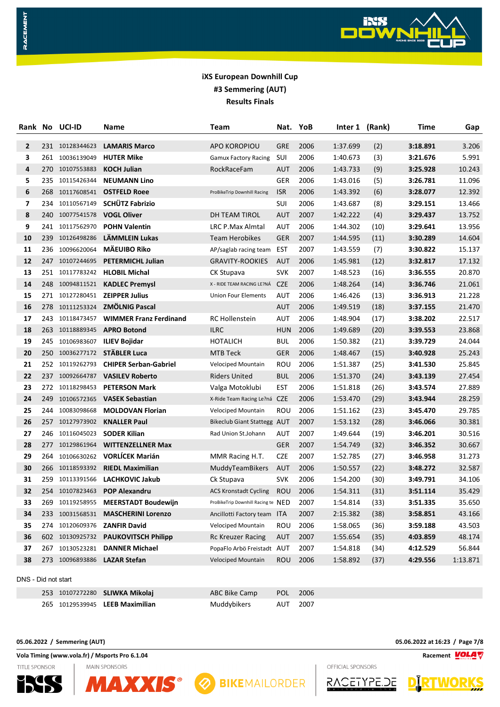

| Rank         |     | No UCI-ID       | Name                               | Team                               | Nat.       | YoB  | Inter 1 (Rank) |      | Time     | Gap      |
|--------------|-----|-----------------|------------------------------------|------------------------------------|------------|------|----------------|------|----------|----------|
| $\mathbf{2}$ |     | 231 10128344623 | <b>LAMARIS Marco</b>               | <b>APO KOROPIOU</b>                | <b>GRE</b> | 2006 | 1:37.699       | (2)  | 3:18.891 | 3.206    |
| з            |     | 261 10036139049 | <b>HUTER Mike</b>                  | <b>Gamux Factory Racing</b>        | SUI        | 2006 | 1:40.673       | (3)  | 3:21.676 | 5.991    |
| 4            |     | 270 10107553883 | <b>KOCH Julian</b>                 | RockRaceFam                        | AUT        | 2006 | 1:43.733       | (9)  | 3:25.928 | 10.243   |
| 5            | 235 | 10115426344     | <b>NEUMANN Lino</b>                |                                    | GER        | 2006 | 1:43.016       | (5)  | 3:26.781 | 11.096   |
| 6            |     | 268 10117608541 | <b>OSTFELD Roee</b>                | ProBikeTrip Downhill Racing        | <b>ISR</b> | 2006 | 1:43.392       | (6)  | 3:28.077 | 12.392   |
| 7            | 234 | 10110567149     | <b>SCHÜTZ Fabrizio</b>             |                                    | SUI        | 2006 | 1:43.687       | (8)  | 3:29.151 | 13.466   |
| 8            | 240 | 10077541578     | <b>VOGL Oliver</b>                 | DH TEAM TIROL                      | <b>AUT</b> | 2007 | 1:42.222       | (4)  | 3:29.437 | 13.752   |
| 9            | 241 | 10117562970     | <b>POHN Valentin</b>               | <b>LRC P.Max Almtal</b>            | AUT        | 2006 | 1:44.302       | (10) | 3:29.641 | 13.956   |
| 10           | 239 | 10126498286     | LÄMMLEIN Lukas                     | <b>Team Herobikes</b>              | <b>GER</b> | 2007 | 1:44.595       | (11) | 3:30.289 | 14.604   |
| 11           |     | 236 10096620064 | MÄEUIBO Riko                       | AP/saglab racing team              | EST        | 2007 | 1:43.559       | (7)  | 3:30.822 | 15.137   |
| 12           |     | 247 10107244695 | <b>PETERMICHL Julian</b>           | <b>GRAVITY-ROOKIES</b>             | <b>AUT</b> | 2006 | 1:45.981       | (12) | 3:32.817 | 17.132   |
| 13           |     | 251 10117783242 | <b>HLOBIL Michal</b>               | CK Stupava                         | <b>SVK</b> | 2007 | 1:48.523       | (16) | 3:36.555 | 20.870   |
| 14           | 248 | 10094811521     | <b>KADLEC Premysl</b>              | X - RIDE TEAM RACING LE?NÁ         | <b>CZE</b> | 2006 | 1:48.264       | (14) | 3:36.746 | 21.061   |
| 15           |     | 271 10127280451 | <b>ZEIPPER Julius</b>              | <b>Union Four Elements</b>         | AUT        | 2006 | 1:46.426       | (13) | 3:36.913 | 21.228   |
| 16           | 278 | 10111253324     | <b>ZMÖLNIG Pascal</b>              |                                    | <b>AUT</b> | 2006 | 1:49.519       | (18) | 3:37.155 | 21.470   |
| 17           |     | 243 10118473457 | <b>WIMMER Franz Ferdinand</b>      | RC Hollenstein                     | <b>AUT</b> | 2006 | 1:48.904       | (17) | 3:38.202 | 22.517   |
| 18           |     | 263 10118889345 | <b>APRO Botond</b>                 | <b>ILRC</b>                        | <b>HUN</b> | 2006 | 1:49.689       | (20) | 3:39.553 | 23.868   |
| 19           |     | 245 10106983607 | <b>ILIEV Bojidar</b>               | <b>HOTALICH</b>                    | <b>BUL</b> | 2006 | 1:50.382       | (21) | 3:39.729 | 24.044   |
| 20           | 250 |                 | 10036277172 STÄBLER Luca           | MTB Teck                           | <b>GER</b> | 2006 | 1:48.467       | (15) | 3:40.928 | 25.243   |
| 21           |     | 252 10119262793 | <b>CHIPER Serban-Gabriel</b>       | Velociped Mountain                 | ROU        | 2006 | 1:51.387       | (25) | 3:41.530 | 25.845   |
| 22           |     | 237 10092664787 | <b>VASILEV Roberto</b>             | <b>Riders United</b>               | <b>BUL</b> | 2006 | 1:51.370       | (24) | 3:43.139 | 27.454   |
| 23           | 272 | 10118298453     | <b>PETERSON Mark</b>               | Valga Motoklubi                    | <b>EST</b> | 2006 | 1:51.818       | (26) | 3:43.574 | 27.889   |
| 24           | 249 |                 | 10106572365 <b>VASEK Sebastian</b> | X-Ride Team Racing Le?ná CZE       |            | 2006 | 1:53.470       | (29) | 3:43.944 | 28.259   |
| 25           | 244 | 10083098668     | <b>MOLDOVAN Florian</b>            | Velociped Mountain                 | ROU        | 2006 | 1:51.162       | (23) | 3:45.470 | 29.785   |
| 26           | 257 | 10127973902     | <b>KNALLER Paul</b>                | <b>Bikeclub Giant Stattegg AUT</b> |            | 2007 | 1:53.132       | (28) | 3:46.066 | 30.381   |
| 27           | 246 | 10116045023     | <b>SODER Kilian</b>                | Rad Union St.Johann                | AUT        | 2007 | 1:49.644       | (19) | 3:46.201 | 30.516   |
| 28           | 277 | 10129861964     | <b>WITTENZELLNER Max</b>           |                                    | <b>GER</b> | 2007 | 1:54.749       | (32) | 3:46.352 | 30.667   |
| 29           | 264 | 10106630262     | <b>VORLÍCEK Marián</b>             | MMR Racing H.T.                    | <b>CZE</b> | 2007 | 1:52.785       | (27) | 3:46.958 | 31.273   |
| 30           | 266 | 10118593392     | <b>RIEDL Maximilian</b>            | MuddyTeamBikers                    | <b>AUT</b> | 2006 | 1:50.557       | (22) | 3:48.272 | 32.587   |
| 31           | 259 | 10113391566     | LACHKOVIC Jakub                    | Ck Stupava                         | <b>SVK</b> | 2006 | 1:54.200       | (30) | 3:49.791 | 34.106   |
| 32           |     |                 | 254 10107823463 POP Alexandru      | <b>ACS Kronstadt Cycling</b>       | ROU        | 2006 | 1:54.311       | (31) | 3:51.114 | 35.429   |
| 33           |     | 269 10119258955 | <b>MEERSTADT Boudewijn</b>         | ProBikeTrip Downhill Racing te NED |            | 2007 | 1:54.814       | (33) | 3:51.335 | 35.650   |
| 34           |     | 233 10031568531 | <b>MASCHERINI Lorenzo</b>          | Ancillotti Factory team            | <b>ITA</b> | 2007 | 2:15.382       | (38) | 3:58.851 | 43.166   |
| 35           |     | 274 10120609376 | <b>ZANFIR David</b>                | <b>Velociped Mountain</b>          | ROU        | 2006 | 1:58.065       | (36) | 3:59.188 | 43.503   |
| 36           |     | 602 10130925732 | <b>PAUKOVITSCH Philipp</b>         | <b>Rc Kreuzer Racing</b>           | <b>AUT</b> | 2007 | 1:55.654       | (35) | 4:03.859 | 48.174   |
| 37           | 267 | 10130523281     | <b>DANNER Michael</b>              | PopaFlo Arbö Freistadt AUT         |            | 2007 | 1:54.818       | (34) | 4:12.529 | 56.844   |
| 38           |     | 273 10096893886 | <b>LAZAR Stefan</b>                | Velociped Mountain                 | ROU        | 2006 | 1:58.892       | (37) | 4:29.556 | 1:13.871 |
|              |     |                 |                                    |                                    |            |      |                |      |          |          |

DNS - Did not start

RACEMENT

|  | 253 10107272280 SLIWKA Mikolaj  | ABC Bike Camp POL 2006 |  |
|--|---------------------------------|------------------------|--|
|  | 265 10129539945 LEEB Maximilian | Muddybikers AUT 2007   |  |

### **05.06.2022 / Semmering (AUT) 05.06.2022 at 16:23 / Page 7/8**

**Vola Timing (www.vola.fr) / Msports Pro 6.1.04 Racement**

**TITLE SPONSOR** 





**8 BIKEMAILORDER**